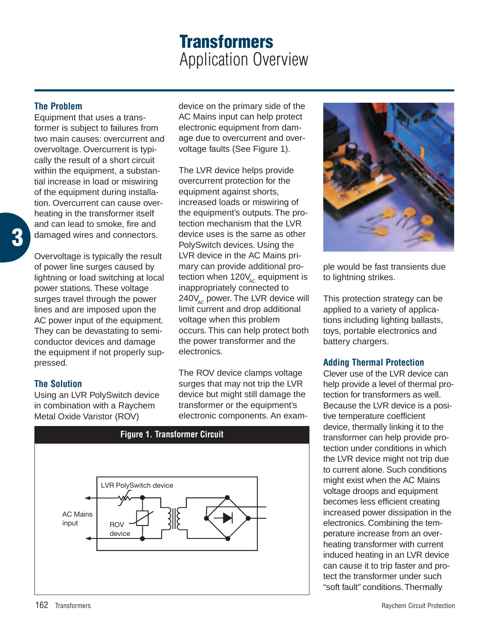# **Transformers** Application Overview

## **The Problem**

Equipment that uses a transformer is subject to failures from two main causes: overcurrent and overvoltage. Overcurrent is typically the result of a short circuit within the equipment, a substantial increase in load or miswiring of the equipment during installation. Overcurrent can cause overheating in the transformer itself and can lead to smoke, fire and damaged wires and connectors.

Overvoltage is typically the result of power line surges caused by lightning or load switching at local power stations. These voltage surges travel through the power lines and are imposed upon the AC power input of the equipment. They can be devastating to semiconductor devices and damage the equipment if not properly suppressed.

## **The Solution**

Using an LVR PolySwitch device in combination with a Raychem Metal Oxide Varistor (ROV)

device on the primary side of the AC Mains input can help protect electronic equipment from damage due to overcurrent and overvoltage faults (See Figure 1).

The LVR device helps provide overcurrent protection for the equipment against shorts, increased loads or miswiring of the equipment's outputs. The protection mechanism that the LVR device uses is the same as other PolySwitch devices. Using the LVR device in the AC Mains primary can provide additional protection when  $120V_{AC}$  equipment is inappropriately connected to  $240V_{\text{AC}}$  power. The LVR device will limit current and drop additional voltage when this problem occurs. This can help protect both the power transformer and the electronics.

The ROV device clamps voltage surges that may not trip the LVR device but might still damage the transformer or the equipment's electronic components. An exam-



**Figure 1. Transformer Circuit**



ple would be fast transients due to lightning strikes.

This protection strategy can be applied to a variety of applications including lighting ballasts, toys, portable electronics and battery chargers.

## **Adding Thermal Protection**

Clever use of the LVR device can help provide a level of thermal protection for transformers as well. Because the LVR device is a positive temperature coefficient device, thermally linking it to the transformer can help provide protection under conditions in which the LVR device might not trip due to current alone. Such conditions might exist when the AC Mains voltage droops and equipment becomes less efficient creating increased power dissipation in the electronics. Combining the temperature increase from an overheating transformer with current induced heating in an LVR device can cause it to trip faster and protect the transformer under such "soft fault" conditions. Thermally